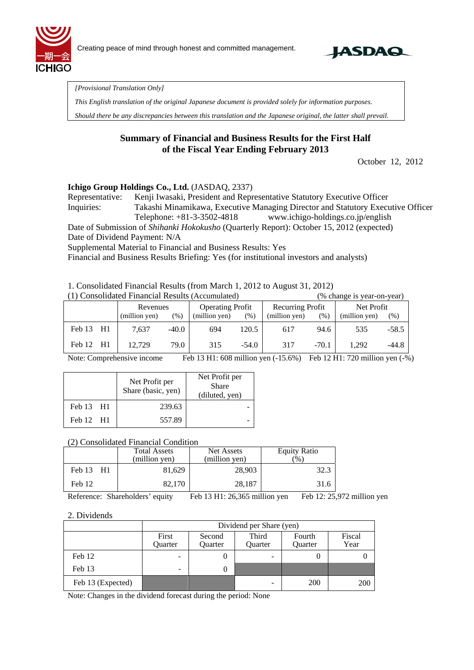



*[Provisional Translation Only]* 

*This English translation of the original Japanese document is provided solely for information purposes.* 

*Should there be any discrepancies between this translation and the Japanese original, the latter shall prevail.*

### **Summary of Financial and Business Results for the First Half of the Fiscal Year Ending February 2013**

October 12, 2012

### **Ichigo Group Holdings Co., Ltd.** (JASDAQ, 2337)

Representative: Kenji Iwasaki, President and Representative Statutory Executive Officer Inquiries: Takashi Minamikawa, Executive Managing Director and Statutory Executive Officer Telephone: +81-3-3502-4818 www.ichigo-holdings.co.jp/english

Date of Submission of *Shihanki Hokokusho* (Quarterly Report): October 15, 2012 (expected)

Date of Dividend Payment: N/A

Supplemental Material to Financial and Business Results: Yes

Financial and Business Results Briefing: Yes (for institutional investors and analysts)

1. Consolidated Financial Results (from March 1, 2012 to August 31, 2012)

| (1) Consolidated Financial Results (Accumulated) |           |  |               |         |               |                         | (% change is year-on-year) |                  |               |            |  |
|--------------------------------------------------|-----------|--|---------------|---------|---------------|-------------------------|----------------------------|------------------|---------------|------------|--|
|                                                  |           |  | Revenues      |         |               | <b>Operating Profit</b> |                            | Recurring Profit |               | Net Profit |  |
|                                                  |           |  | (million yen) | (% )    | (million yen) | (%)                     | (million yen)              | (% )             | (million yen) | (% )       |  |
|                                                  | Feb 13 H1 |  | 7.637         | $-40.0$ | 694           | 120.5                   | 617                        | 94.6             | 535           | $-58.5$    |  |
|                                                  | Feb 12 H1 |  | 12.729        | 79.0    | 315           | $-54.0$                 | 317                        | $-70.1$          | 1.292         | $-44.8$    |  |

Note: Comprehensive income Feb 13 H1: 608 million yen (-15.6%) Feb 12 H1: 720 million yen (-%)

|           | Net Profit per<br>Share (basic, yen) | Net Profit per<br>Share<br>(diluted, yen) |
|-----------|--------------------------------------|-------------------------------------------|
| Feb 13 H1 | 239.63                               |                                           |
| Feb 12 H1 | 557.89                               |                                           |

#### (2) Consolidated Financial Condition

|           | Total Assets<br>(million yen) | Net Assets<br>(million yen) | <b>Equity Ratio</b><br>$\frac{1}{2}$ |
|-----------|-------------------------------|-----------------------------|--------------------------------------|
| Feb 13 H1 | 81,629                        | 28,903                      | 32.3                                 |
| Feb 12    | 82,170                        | 28,187                      | 31.6                                 |

Reference: Shareholders' equity Feb 13 H1: 26,365 million yen Feb 12: 25,972 million yen

#### 2. Dividends

|                   |                  | Dividend per Share (yen) |                |     |     |  |
|-------------------|------------------|--------------------------|----------------|-----|-----|--|
|                   | First<br>Ouarter | Fourth<br><b>Ouarter</b> | Fiscal<br>Year |     |     |  |
| Feb 12            |                  |                          | -              |     |     |  |
| Feb 13            | -                |                          |                |     |     |  |
| Feb 13 (Expected) |                  |                          | -              | 200 | 200 |  |

Note: Changes in the dividend forecast during the period: None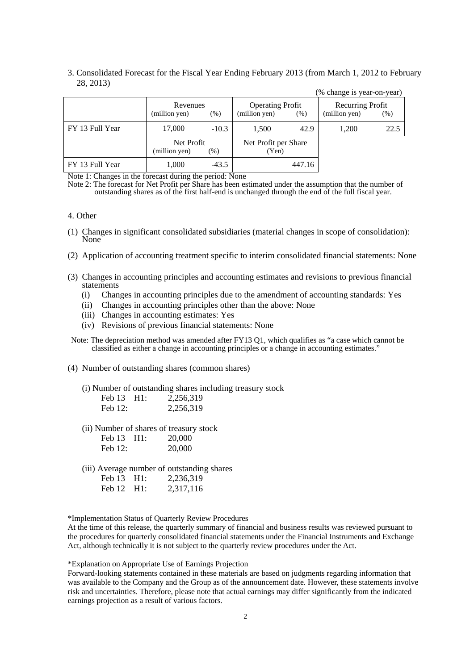#### 3. Consolidated Forecast for the Fiscal Year Ending February 2013 (from March 1, 2012 to February 28, 2013)

|                 |                             |         |                                          |        | (% change is year-on-year)        |      |
|-----------------|-----------------------------|---------|------------------------------------------|--------|-----------------------------------|------|
|                 | Revenues<br>(million yen)   | (% )    | <b>Operating Profit</b><br>(million yen) | (% )   | Recurring Profit<br>(million yen) | (% ) |
| FY 13 Full Year | 17,000                      | $-10.3$ | 1,500                                    | 42.9   | 1,200                             | 22.5 |
|                 | Net Profit<br>(million yen) | (% )    | Net Profit per Share<br>(Yen)            |        |                                   |      |
| FY 13 Full Year | 1,000                       | $-43.5$ |                                          | 447.16 |                                   |      |

Note 1: Changes in the forecast during the period: None

Note 2: The forecast for Net Profit per Share has been estimated under the assumption that the number of outstanding shares as of the first half-end is unchanged through the end of the full fiscal year.

#### 4. Other

- (1) Changes in significant consolidated subsidiaries (material changes in scope of consolidation): None
- (2) Application of accounting treatment specific to interim consolidated financial statements: None
- (3) Changes in accounting principles and accounting estimates and revisions to previous financial statements
	- (i) Changes in accounting principles due to the amendment of accounting standards: Yes
	- (ii) Changes in accounting principles other than the above: None
	- (iii) Changes in accounting estimates: Yes
	- (iv) Revisions of previous financial statements: None

Note: The depreciation method was amended after FY13 Q1, which qualifies as "a case which cannot be classified as either a change in accounting principles or a change in accounting estimates."

(4) Number of outstanding shares (common shares)

(i) Number of outstanding shares including treasury stock Feb 13 H1: 2.256,319

| Feb $12$ : | 2,256,319 |
|------------|-----------|
|            |           |

(ii) Number of shares of treasury stock

| Feb 13  | H1: | 20,000 |
|---------|-----|--------|
| Feb 12: |     | 20,000 |

(iii) Average number of outstanding shares

| Feb 13 H1: | 2,236,319 |
|------------|-----------|
| Feb 12 H1: | 2,317,116 |

\*Implementation Status of Quarterly Review Procedures

At the time of this release, the quarterly summary of financial and business results was reviewed pursuant to the procedures for quarterly consolidated financial statements under the Financial Instruments and Exchange Act, although technically it is not subject to the quarterly review procedures under the Act.

\*Explanation on Appropriate Use of Earnings Projection

Forward-looking statements contained in these materials are based on judgments regarding information that was available to the Company and the Group as of the announcement date. However, these statements involve risk and uncertainties. Therefore, please note that actual earnings may differ significantly from the indicated earnings projection as a result of various factors.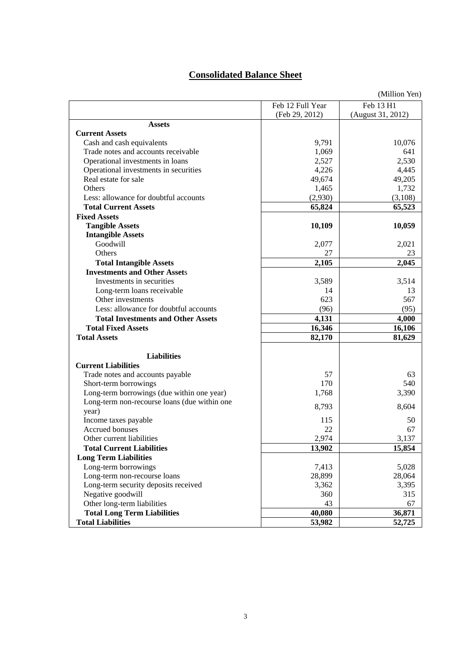# **Consolidated Balance Sheet**

| (Million Yen)                                |                  |                   |  |
|----------------------------------------------|------------------|-------------------|--|
|                                              | Feb 12 Full Year | Feb 13 H1         |  |
|                                              | (Feb 29, 2012)   | (August 31, 2012) |  |
| <b>Assets</b>                                |                  |                   |  |
| <b>Current Assets</b>                        |                  |                   |  |
| Cash and cash equivalents                    | 9,791            | 10,076            |  |
| Trade notes and accounts receivable          | 1,069            | 641               |  |
| Operational investments in loans             | 2,527            | 2,530             |  |
| Operational investments in securities        | 4,226            | 4,445             |  |
| Real estate for sale                         | 49,674           | 49,205            |  |
| Others                                       | 1,465            | 1,732             |  |
| Less: allowance for doubtful accounts        | (2,930)          | (3,108)           |  |
| <b>Total Current Assets</b>                  | 65,824           | 65,523            |  |
| <b>Fixed Assets</b>                          |                  |                   |  |
| <b>Tangible Assets</b>                       | 10,109           | 10,059            |  |
| <b>Intangible Assets</b>                     |                  |                   |  |
| Goodwill                                     | 2,077            | 2,021             |  |
| Others                                       | 27               | 23                |  |
| <b>Total Intangible Assets</b>               | 2,105            | 2,045             |  |
| <b>Investments and Other Assets</b>          |                  |                   |  |
| Investments in securities                    | 3,589            | 3,514             |  |
| Long-term loans receivable                   | 14               | 13                |  |
| Other investments                            | 623              | 567               |  |
| Less: allowance for doubtful accounts        | (96)             | (95)              |  |
| <b>Total Investments and Other Assets</b>    | 4,131            | 4,000             |  |
| <b>Total Fixed Assets</b>                    |                  |                   |  |
|                                              | 16,346           | 16,106            |  |
| <b>Total Assets</b>                          | 82,170           | 81,629            |  |
| <b>Liabilities</b>                           |                  |                   |  |
| <b>Current Liabilities</b>                   |                  |                   |  |
| Trade notes and accounts payable             | 57               | 63                |  |
| Short-term borrowings                        | 170              | 540               |  |
| Long-term borrowings (due within one year)   | 1,768            | 3,390             |  |
| Long-term non-recourse loans (due within one | 8,793            | 8,604             |  |
| year)                                        |                  |                   |  |
| Income taxes payable                         | 115              | 50                |  |
| Accrued bonuses                              | 22               | 67                |  |
| Other current liabilities                    | 2,974            | 3,137             |  |
| <b>Total Current Liabilities</b>             | 13,902           | 15,854            |  |
| <b>Long Term Liabilities</b>                 |                  |                   |  |
| Long-term borrowings                         | 7,413            | 5,028             |  |
| Long-term non-recourse loans                 | 28,899           | 28,064            |  |
| Long-term security deposits received         | 3,362            | 3,395             |  |
| Negative goodwill                            | 360              | 315               |  |
| Other long-term liabilities                  | 43               | 67                |  |
| <b>Total Long Term Liabilities</b>           | 40,080           | 36,871            |  |
| <b>Total Liabilities</b>                     | 53,982           | 52,725            |  |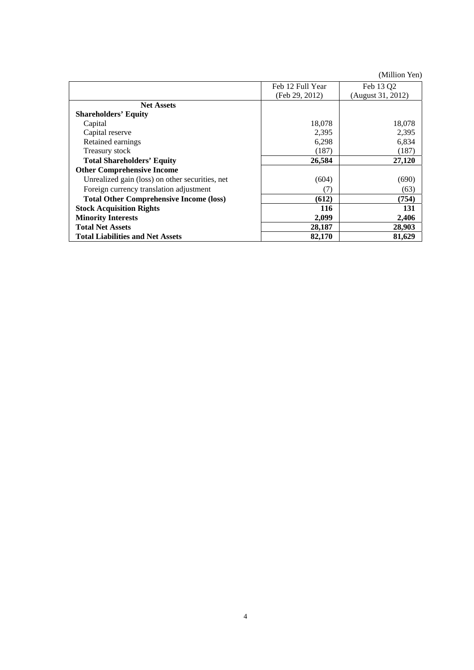(Million Yen)

|                                                 | Feb 12 Full Year | Feb 13 Q2         |
|-------------------------------------------------|------------------|-------------------|
|                                                 | (Feb 29, 2012)   | (August 31, 2012) |
| <b>Net Assets</b>                               |                  |                   |
| <b>Shareholders' Equity</b>                     |                  |                   |
| Capital                                         | 18,078           | 18,078            |
| Capital reserve                                 | 2,395            | 2,395             |
| Retained earnings                               | 6,298            | 6,834             |
| Treasury stock                                  | (187)            | (187)             |
| <b>Total Shareholders' Equity</b>               | 26,584           | 27,120            |
| <b>Other Comprehensive Income</b>               |                  |                   |
| Unrealized gain (loss) on other securities, net | (604)            | (690)             |
| Foreign currency translation adjustment         | (7)              | (63)              |
| <b>Total Other Comprehensive Income (loss)</b>  | (612)            | (754)             |
| <b>Stock Acquisition Rights</b>                 | 116              | 131               |
| <b>Minority Interests</b>                       | 2,099            | 2,406             |
| <b>Total Net Assets</b>                         | 28,187           | 28,903            |
| <b>Total Liabilities and Net Assets</b>         | 82,170           | 81,629            |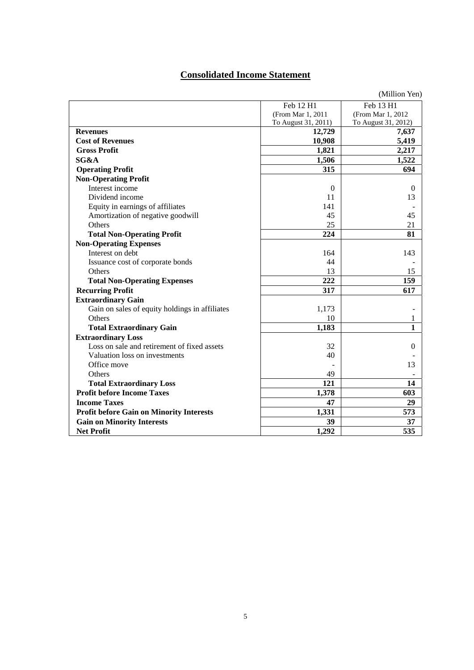# **Consolidated Income Statement**

|                                                 |                     | (Million Yen)       |
|-------------------------------------------------|---------------------|---------------------|
|                                                 | Feb 12 H1           | Feb 13 H1           |
|                                                 | (From Mar 1, 2011)  | (From Mar 1, 2012)  |
|                                                 | To August 31, 2011) | To August 31, 2012) |
| <b>Revenues</b>                                 | 12,729              | 7,637               |
| <b>Cost of Revenues</b>                         | 10,908              | 5,419               |
| <b>Gross Profit</b>                             | 1,821               | 2,217               |
| SG&A                                            | 1,506               | 1,522               |
| <b>Operating Profit</b>                         | 315                 | 694                 |
| <b>Non-Operating Profit</b>                     |                     |                     |
| Interest income                                 | $\Omega$            | $\Omega$            |
| Dividend income                                 | 11                  | 13                  |
| Equity in earnings of affiliates                | 141                 |                     |
| Amortization of negative goodwill               | 45                  | 45                  |
| Others                                          | 25                  | 21                  |
| <b>Total Non-Operating Profit</b>               | 224                 | 81                  |
| <b>Non-Operating Expenses</b>                   |                     |                     |
| Interest on debt                                | 164                 | 143                 |
| Issuance cost of corporate bonds                | 44                  |                     |
| Others                                          | 13                  | 15                  |
| <b>Total Non-Operating Expenses</b>             | 222                 | 159                 |
| <b>Recurring Profit</b>                         | 317                 | 617                 |
| <b>Extraordinary Gain</b>                       |                     |                     |
| Gain on sales of equity holdings in affiliates  | 1,173               |                     |
| <b>Others</b>                                   | 10                  | 1                   |
| <b>Total Extraordinary Gain</b>                 | 1,183               | 1                   |
| <b>Extraordinary Loss</b>                       |                     |                     |
| Loss on sale and retirement of fixed assets     | 32                  | $\theta$            |
| Valuation loss on investments                   | 40                  |                     |
| Office move                                     |                     | 13                  |
| Others                                          | 49                  |                     |
| <b>Total Extraordinary Loss</b>                 | 121                 | 14                  |
| <b>Profit before Income Taxes</b>               | 1,378               | 603                 |
| <b>Income Taxes</b>                             | 47                  | 29                  |
| <b>Profit before Gain on Minority Interests</b> | 1,331               | 573                 |
| <b>Gain on Minority Interests</b>               | 39                  | 37                  |
| <b>Net Profit</b>                               | 1,292               | 535                 |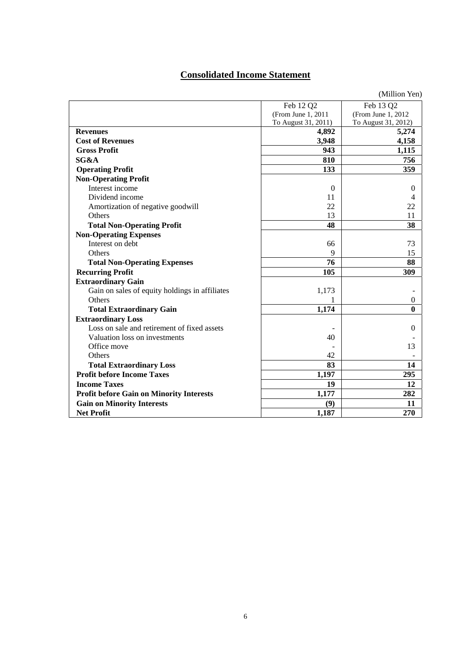# **Consolidated Income Statement**

|                                                 |                     | (Million Yen)       |
|-------------------------------------------------|---------------------|---------------------|
|                                                 | Feb 12 Q2           | Feb 13 Q2           |
|                                                 | (From June 1, 2011) | (From June 1, 2012) |
|                                                 | To August 31, 2011) | To August 31, 2012) |
| <b>Revenues</b>                                 | 4,892               | 5,274               |
| <b>Cost of Revenues</b>                         | 3,948               | 4,158               |
| <b>Gross Profit</b>                             | 943                 | 1,115               |
| SG&A                                            | 810                 | 756                 |
| <b>Operating Profit</b>                         | 133                 | 359                 |
| <b>Non-Operating Profit</b>                     |                     |                     |
| Interest income                                 | $\Omega$            | $\Omega$            |
| Dividend income                                 | 11                  | 4                   |
| Amortization of negative goodwill               | 22                  | 22                  |
| Others                                          | 13                  | 11                  |
| <b>Total Non-Operating Profit</b>               | 48                  | 38                  |
| <b>Non-Operating Expenses</b>                   |                     |                     |
| Interest on debt                                | 66                  | 73                  |
| Others                                          | 9                   | 15                  |
| <b>Total Non-Operating Expenses</b>             | 76                  | 88                  |
| <b>Recurring Profit</b>                         | 105                 | 309                 |
| <b>Extraordinary Gain</b>                       |                     |                     |
| Gain on sales of equity holdings in affiliates  | 1,173               |                     |
| Others                                          | 1                   | $\mathbf{0}$        |
| <b>Total Extraordinary Gain</b>                 | 1,174               | $\bf{0}$            |
| <b>Extraordinary Loss</b>                       |                     |                     |
| Loss on sale and retirement of fixed assets     |                     | $\theta$            |
| Valuation loss on investments                   | 40                  |                     |
| Office move                                     |                     | 13                  |
| Others                                          | 42                  |                     |
| <b>Total Extraordinary Loss</b>                 | 83                  | 14                  |
| <b>Profit before Income Taxes</b>               | 1,197               | 295                 |
| <b>Income Taxes</b>                             | 19                  | 12                  |
| <b>Profit before Gain on Minority Interests</b> | 1,177               | 282                 |
| <b>Gain on Minority Interests</b>               | (9)                 | 11                  |
| <b>Net Profit</b>                               | 1,187               | 270                 |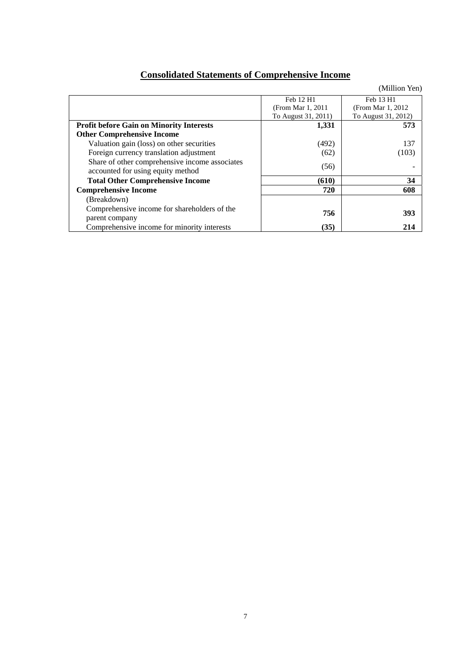# **Consolidated Statements of Comprehensive Income**

|                                                                                     |                     | (Million Yen)       |
|-------------------------------------------------------------------------------------|---------------------|---------------------|
|                                                                                     | Feb 12 H1           | Feb 13 H1           |
|                                                                                     | (From Mar 1, 2011)  | (From Mar 1, 2012)  |
|                                                                                     | To August 31, 2011) | To August 31, 2012) |
| <b>Profit before Gain on Minority Interests</b>                                     | 1,331               | 573                 |
| <b>Other Comprehensive Income</b>                                                   |                     |                     |
| Valuation gain (loss) on other securities                                           | (492)               | 137                 |
| Foreign currency translation adjustment                                             | (62)                | (103)               |
| Share of other comprehensive income associates<br>accounted for using equity method | (56)                |                     |
| <b>Total Other Comprehensive Income</b>                                             | (610)               | 34                  |
| <b>Comprehensive Income</b>                                                         | 720                 | 608                 |
| (Breakdown)                                                                         |                     |                     |
| Comprehensive income for shareholders of the                                        | 756                 | 393                 |
| parent company<br>Comprehensive income for minority interests                       | (35)                | 214                 |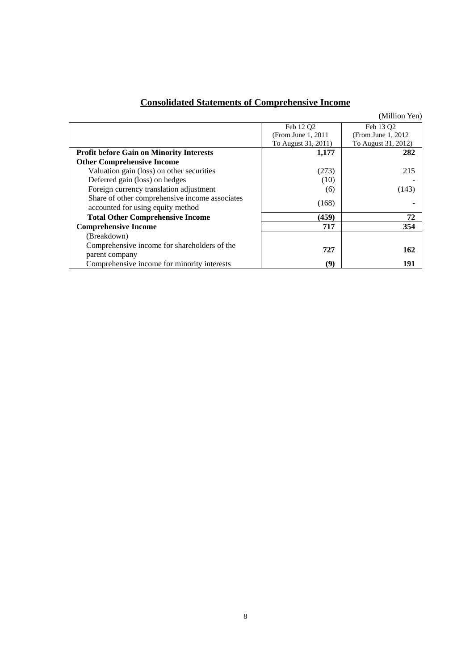|                                                                                     |                       | (Million Yen)         |
|-------------------------------------------------------------------------------------|-----------------------|-----------------------|
|                                                                                     | Feb 12 O <sub>2</sub> | Feb 13 O <sub>2</sub> |
|                                                                                     | (From June 1, 2011)   | (From June 1, 2012)   |
|                                                                                     | To August 31, 2011)   | To August 31, 2012)   |
| <b>Profit before Gain on Minority Interests</b>                                     | 1,177                 | 282                   |
| <b>Other Comprehensive Income</b>                                                   |                       |                       |
| Valuation gain (loss) on other securities                                           | (273)                 | 215                   |
| Deferred gain (loss) on hedges                                                      | (10)                  |                       |
| Foreign currency translation adjustment                                             | (6)                   | (143)                 |
| Share of other comprehensive income associates<br>accounted for using equity method | (168)                 |                       |
| <b>Total Other Comprehensive Income</b>                                             | (459)                 | 72                    |
| <b>Comprehensive Income</b>                                                         | 717                   | 354                   |
| (Breakdown)                                                                         |                       |                       |
| Comprehensive income for shareholders of the                                        | 727                   | 162                   |
| parent company                                                                      |                       |                       |
| Comprehensive income for minority interests                                         | (9)                   | 191                   |

# **Consolidated Statements of Comprehensive Income**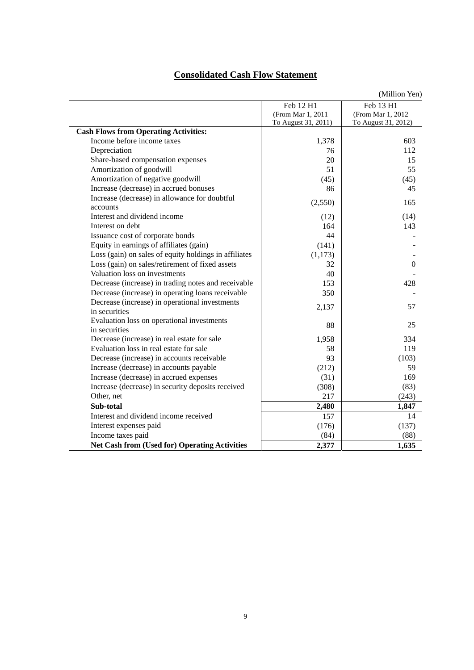# **Consolidated Cash Flow Statement**

|                                                       |                     | (Million Yen)       |
|-------------------------------------------------------|---------------------|---------------------|
|                                                       | Feb 12 H1           | Feb 13 H1           |
|                                                       | (From Mar 1, 2011   | (From Mar 1, 2012)  |
|                                                       | To August 31, 2011) | To August 31, 2012) |
| <b>Cash Flows from Operating Activities:</b>          |                     |                     |
| Income before income taxes                            | 1,378               | 603                 |
| Depreciation                                          | 76                  | 112                 |
| Share-based compensation expenses                     | 20                  | 15                  |
| Amortization of goodwill                              | 51                  | 55                  |
| Amortization of negative goodwill                     | (45)                | (45)                |
| Increase (decrease) in accrued bonuses                | 86                  | 45                  |
| Increase (decrease) in allowance for doubtful         |                     | 165                 |
| accounts                                              | (2,550)             |                     |
| Interest and dividend income                          | (12)                | (14)                |
| Interest on debt                                      | 164                 | 143                 |
| Issuance cost of corporate bonds                      | 44                  |                     |
| Equity in earnings of affiliates (gain)               | (141)               |                     |
| Loss (gain) on sales of equity holdings in affiliates | (1,173)             |                     |
| Loss (gain) on sales/retirement of fixed assets       | 32                  | $\theta$            |
| Valuation loss on investments                         | 40                  |                     |
| Decrease (increase) in trading notes and receivable   | 153                 | 428                 |
| Decrease (increase) in operating loans receivable     | 350                 |                     |
| Decrease (increase) in operational investments        |                     | 57                  |
| in securities                                         | 2,137               |                     |
| Evaluation loss on operational investments            | 88                  | 25                  |
| in securities                                         |                     |                     |
| Decrease (increase) in real estate for sale           | 1,958               | 334                 |
| Evaluation loss in real estate for sale               | 58                  | 119                 |
| Decrease (increase) in accounts receivable            | 93                  | (103)               |
| Increase (decrease) in accounts payable               | (212)               | 59                  |
| Increase (decrease) in accrued expenses               | (31)                | 169                 |
| Increase (decrease) in security deposits received     | (308)               | (83)                |
| Other, net                                            | 217                 | (243)               |
| Sub-total                                             | 2,480               | 1,847               |
| Interest and dividend income received                 | 157                 | 14                  |
| Interest expenses paid                                | (176)               | (137)               |
| Income taxes paid                                     | (84)                | (88)                |
| <b>Net Cash from (Used for) Operating Activities</b>  | 2,377               | 1,635               |